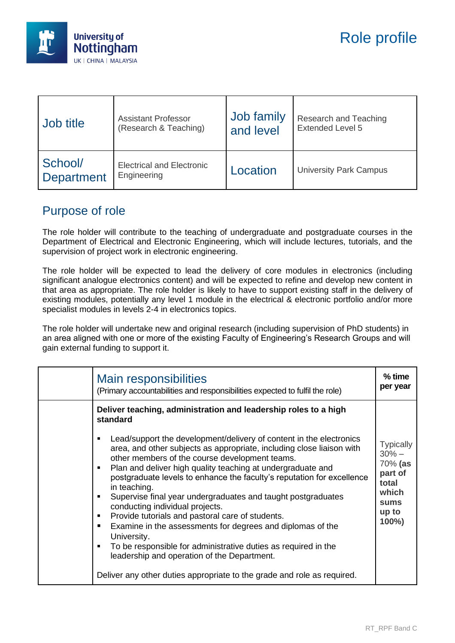

| Job title             | <b>Assistant Professor</b>                      | Job family | Research and Teaching         |
|-----------------------|-------------------------------------------------|------------|-------------------------------|
|                       | (Research & Teaching)                           | and level  | <b>Extended Level 5</b>       |
| School/<br>Department | <b>Electrical and Electronic</b><br>Engineering | Location   | <b>University Park Campus</b> |

## Purpose of role

The role holder will contribute to the teaching of undergraduate and postgraduate courses in the Department of Electrical and Electronic Engineering, which will include lectures, tutorials, and the supervision of project work in electronic engineering.

The role holder will be expected to lead the delivery of core modules in electronics (including significant analogue electronics content) and will be expected to refine and develop new content in that area as appropriate. The role holder is likely to have to support existing staff in the delivery of existing modules, potentially any level 1 module in the electrical & electronic portfolio and/or more specialist modules in levels 2-4 in electronics topics.

The role holder will undertake new and original research (including supervision of PhD students) in an area aligned with one or more of the existing Faculty of Engineering's Research Groups and will gain external funding to support it.

| <b>Main responsibilities</b><br>(Primary accountabilities and responsibilities expected to fulfil the role)                                                                                                                                                                                                                                                                                                                                                                                                                                                                                                                                                                                       | $%$ time<br>per year                                                                          |
|---------------------------------------------------------------------------------------------------------------------------------------------------------------------------------------------------------------------------------------------------------------------------------------------------------------------------------------------------------------------------------------------------------------------------------------------------------------------------------------------------------------------------------------------------------------------------------------------------------------------------------------------------------------------------------------------------|-----------------------------------------------------------------------------------------------|
| Deliver teaching, administration and leadership roles to a high<br>standard<br>Lead/support the development/delivery of content in the electronics<br>area, and other subjects as appropriate, including close liaison with<br>other members of the course development teams.<br>Plan and deliver high quality teaching at undergraduate and<br>$\blacksquare$<br>postgraduate levels to enhance the faculty's reputation for excellence<br>in teaching.<br>Supervise final year undergraduates and taught postgraduates<br>conducting individual projects.<br>Provide tutorials and pastoral care of students.<br>٠<br>Examine in the assessments for degrees and diplomas of the<br>University. | <b>Typically</b><br>$30% -$<br>70% (as<br>part of<br>total<br>which<br>sums<br>up to<br>100%) |
| To be responsible for administrative duties as required in the<br>leadership and operation of the Department.<br>Deliver any other duties appropriate to the grade and role as required.                                                                                                                                                                                                                                                                                                                                                                                                                                                                                                          |                                                                                               |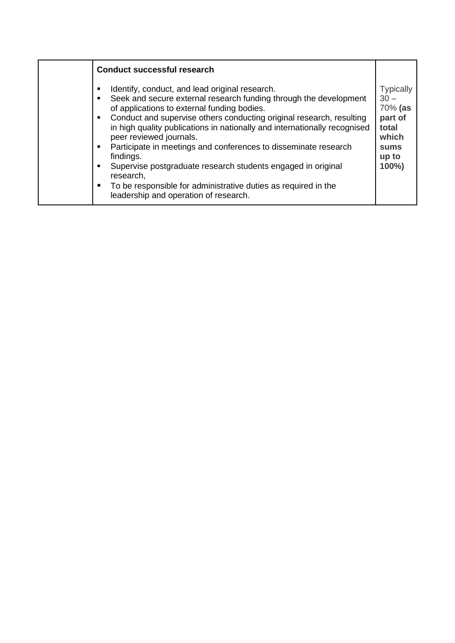| <b>Conduct successful research</b>                                                                                                                                                                                                                                                                                                                                                                                                                                                                                                                                                                                                                                   |                                                                                                     |
|----------------------------------------------------------------------------------------------------------------------------------------------------------------------------------------------------------------------------------------------------------------------------------------------------------------------------------------------------------------------------------------------------------------------------------------------------------------------------------------------------------------------------------------------------------------------------------------------------------------------------------------------------------------------|-----------------------------------------------------------------------------------------------------|
| Identify, conduct, and lead original research.<br>Seek and secure external research funding through the development<br>$\blacksquare$<br>of applications to external funding bodies.<br>Conduct and supervise others conducting original research, resulting<br>in high quality publications in nationally and internationally recognised<br>peer reviewed journals.<br>Participate in meetings and conferences to disseminate research<br>$\blacksquare$<br>findings.<br>Supervise postgraduate research students engaged in original<br>research,<br>To be responsible for administrative duties as required in the<br>п.<br>leadership and operation of research. | <b>Typically</b><br>$30 -$<br>70% (as<br>part of<br>total<br>which<br><b>sums</b><br>up to<br>100%) |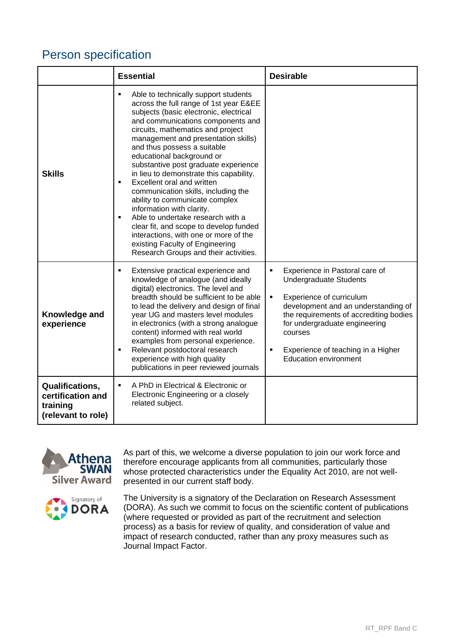## Person specification

|                                                                               | <b>Essential</b>                                                                                                                                                                                                                                                                                                                                                                                                                                                                                                                                                                                                                                                                                                                                                          | <b>Desirable</b>                                                                                                                                                                                                                                                                                                           |  |
|-------------------------------------------------------------------------------|---------------------------------------------------------------------------------------------------------------------------------------------------------------------------------------------------------------------------------------------------------------------------------------------------------------------------------------------------------------------------------------------------------------------------------------------------------------------------------------------------------------------------------------------------------------------------------------------------------------------------------------------------------------------------------------------------------------------------------------------------------------------------|----------------------------------------------------------------------------------------------------------------------------------------------------------------------------------------------------------------------------------------------------------------------------------------------------------------------------|--|
| <b>Skills</b>                                                                 | Able to technically support students<br>٠<br>across the full range of 1st year E&EE<br>subjects (basic electronic, electrical<br>and communications components and<br>circuits, mathematics and project<br>management and presentation skills)<br>and thus possess a suitable<br>educational background or<br>substantive post graduate experience<br>in lieu to demonstrate this capability.<br>Excellent oral and written<br>$\blacksquare$<br>communication skills, including the<br>ability to communicate complex<br>information with clarity.<br>Able to undertake research with a<br>$\blacksquare$<br>clear fit, and scope to develop funded<br>interactions, with one or more of the<br>existing Faculty of Engineering<br>Research Groups and their activities. |                                                                                                                                                                                                                                                                                                                            |  |
| Knowledge and<br>experience                                                   | Extensive practical experience and<br>٠<br>knowledge of analogue (and ideally<br>digital) electronics. The level and<br>breadth should be sufficient to be able<br>to lead the delivery and design of final<br>year UG and masters level modules<br>in electronics (with a strong analogue<br>content) informed with real world<br>examples from personal experience.<br>Relevant postdoctoral research<br>П<br>experience with high quality<br>publications in peer reviewed journals                                                                                                                                                                                                                                                                                    | $\blacksquare$<br>Experience in Pastoral care of<br><b>Undergraduate Students</b><br>Experience of curriculum<br>٠<br>development and an understanding of<br>the requirements of accrediting bodies<br>for undergraduate engineering<br>courses<br>Experience of teaching in a Higher<br>٠<br><b>Education environment</b> |  |
| <b>Qualifications,</b><br>certification and<br>training<br>(relevant to role) | A PhD in Electrical & Electronic or<br>$\blacksquare$<br>Electronic Engineering or a closely<br>related subject.                                                                                                                                                                                                                                                                                                                                                                                                                                                                                                                                                                                                                                                          |                                                                                                                                                                                                                                                                                                                            |  |



As part of this, we welcome a diverse population to join our work force and therefore encourage applicants from all communities, particularly those whose protected characteristics under the Equality Act 2010, are not wellpresented in our current staff body.



The University is a signatory of the Declaration on Research Assessment (DORA). As such we commit to focus on the scientific content of publications (where requested or provided as part of the recruitment and selection process) as a basis for review of quality, and consideration of value and impact of research conducted, rather than any proxy measures such as Journal Impact Factor.